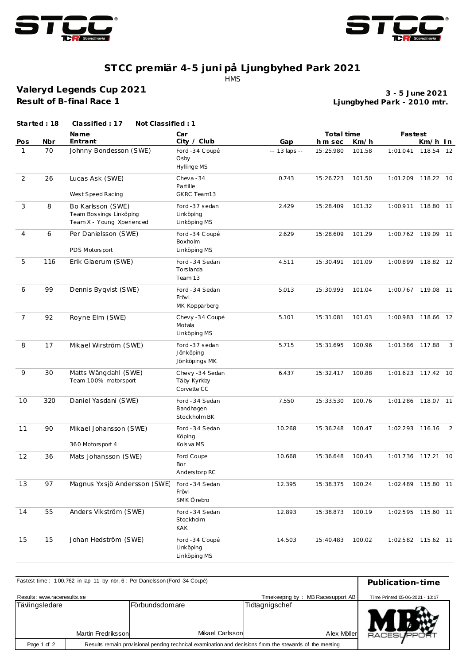



## **ST CC premiär 4-5 juni på Ljungbyhed Park 2021** HMS

**Valeryd Legends Cup 2021 Result of B-final Race 1**

**Ljungbyhed Park - 2010 mtr. 3 - 5 June 2021**

|                | Started: 18 | Classified: 17<br>Not Classified: 1                                       |                                              |               |            |        |                    |           |                |
|----------------|-------------|---------------------------------------------------------------------------|----------------------------------------------|---------------|------------|--------|--------------------|-----------|----------------|
|                |             | <b>Name</b>                                                               | Car                                          |               | Total time |        | Fastest            |           |                |
| Pos            | Nbr         | Entrant                                                                   | City / Club                                  | Gap           | h m sec    | Km/h   |                    | Km/h In   |                |
| $\mathbf{1}$   | 70          | Johnny Bondesson (SWE)                                                    | Ford -34 Coupé<br>Osby<br>Hyllinge MS        | -- 13 laps -- | 15:25.980  | 101.58 | 1:01.041           | 118.54 12 |                |
| $\overline{2}$ | 26          | Lucas Ask (SWE)<br>West Speed Racing                                      | Cheva-34<br>Partille<br>GKRC Team13          | 0.743         | 15:26.723  | 101.50 | 1:01.209           | 118.22 10 |                |
| 3              | 8           | Bo Karlsson (SWE)<br>Team Bossings Linköping<br>Team X - Young Xperienced | Ford -37 sedan<br>Linköping<br>Linköping MS  | 2.429         | 15:28.409  | 101.32 | 1:00.911           | 118.80 11 |                |
| $\overline{4}$ | 6           | Per Danielsson (SWE)<br>PDS Motorsport                                    | Ford -34 Coupé<br>Boxholm<br>Linköping MS    | 2.629         | 15:28.609  | 101.29 | 1:00.762 119.09 11 |           |                |
| 5              | 116         | Erik Glaerum (SWE)                                                        | Ford - 34 Sedan<br>Torslanda<br>Team 13      | 4.511         | 15:30.491  | 101.09 | 1:00.899 118.82 12 |           |                |
| 6              | 99          | Dennis Byqvist (SWE)                                                      | Ford - 34 Sedan<br>Frövi<br>MK Kopparberg    | 5.013         | 15:30.993  | 101.04 | 1:00.767 119.08 11 |           |                |
| $\overline{7}$ | 92          | Royne Elm (SWE)                                                           | Chevy -34 Coupé<br>Motala<br>Linköping MS    | 5.101         | 15:31.081  | 101.03 | 1:00.983 118.66 12 |           |                |
| 8              | 17          | Mikael Wirström (SWE)                                                     | Ford -37 sedan<br>Jönköping<br>Jönköpings MK | 5.715         | 15:31.695  | 100.96 | 1:01.386 117.88    |           | 3              |
| 9              | 30          | Matts Wängdahl (SWE)<br>Team 100% motorsport                              | Chevy-34 Sedan<br>Täby Kyrkby<br>Corvette CC | 6.437         | 15:32.417  | 100.88 | 1:01.623 117.42 10 |           |                |
| 10             | 320         | Daniel Yasdani (SWE)                                                      | Ford - 34 Sedan<br>Bandhagen<br>Stockholm BK | 7.550         | 15:33.530  | 100.76 | 1:01.286 118.07 11 |           |                |
| 11             | 90          | Mikael Johansson (SWE)<br>360 Motorsport 4                                | Ford - 34 Sedan<br>Köping<br>Kols va MS      | 10.268        | 15:36.248  | 100.47 | 1:02.293 116.16    |           | $\overline{2}$ |
| 12             | 36          | Mats Johansson (SWE)                                                      | Ford Coupe<br>Bor<br>Anderstorp RC           | 10.668        | 15:36.648  | 100.43 | 1:01.736 117.21 10 |           |                |
| 13             | 97          | Magnus Yxsjö Andersson (SWE)                                              | Ford - 34 Sedan<br>Frövi<br>SMK Örebro       | 12.395        | 15:38.375  | 100.24 | 1:02.489 115.80 11 |           |                |
| 14             | 55          | Anders Vikström (SWE)                                                     | Ford - 34 Sedan<br>Stockholm<br>KAK          | 12.893        | 15:38.873  | 100.19 | 1:02.595 115.60 11 |           |                |
| 15             | 15          | Johan Hedström (SWE)                                                      | Ford -34 Coupé<br>Linköping<br>Linköping MS  | 14.503        | 15:40.483  | 100.02 | 1:02.582 115.62 11 |           |                |

| Fastest time: 1:00.762 in lap 11 by nbr. 6 : Per Danielsson (Ford -34 Coupé)                                           | Publication-time                |                                           |                               |                    |
|------------------------------------------------------------------------------------------------------------------------|---------------------------------|-------------------------------------------|-------------------------------|--------------------|
| Results: www.raceresults.se                                                                                            | Time Printed 05-06-2021 - 10:17 |                                           |                               |                    |
| Tävlingsledare<br>Martin Fredrikssonl                                                                                  |                                 | <b>IFörbundsdomare</b><br>Mikael Carlsson | Tidtagnigschef<br>Alex Möller | <b>RACESUPPORT</b> |
| Results remain provisional pending technical examination and decisions from the stewards of the meeting<br>Page 1 of 2 |                                 |                                           |                               |                    |